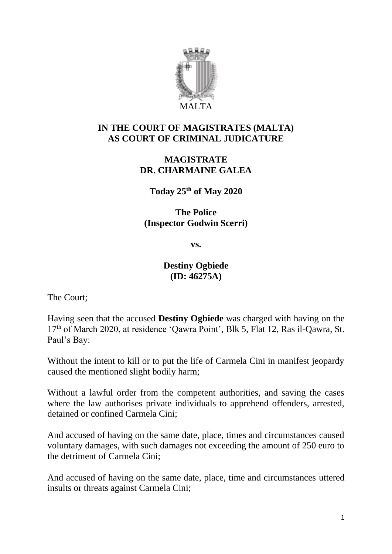

# **IN THE COURT OF MAGISTRATES (MALTA) AS COURT OF CRIMINAL JUDICATURE**

## **MAGISTRATE DR. CHARMAINE GALEA**

**Today 25th of May 2020**

**The Police (Inspector Godwin Scerri)**

**vs.**

### **Destiny Ogbiede (ID: 46275A)**

The Court;

Having seen that the accused **Destiny Ogbiede** was charged with having on the 17<sup>th</sup> of March 2020, at residence 'Qawra Point', Blk 5, Flat 12, Ras il-Qawra, St. Paul's Bay:

Without the intent to kill or to put the life of Carmela Cini in manifest jeopardy caused the mentioned slight bodily harm;

Without a lawful order from the competent authorities, and saving the cases where the law authorises private individuals to apprehend offenders, arrested, detained or confined Carmela Cini;

And accused of having on the same date, place, times and circumstances caused voluntary damages, with such damages not exceeding the amount of 250 euro to the detriment of Carmela Cini;

And accused of having on the same date, place, time and circumstances uttered insults or threats against Carmela Cini;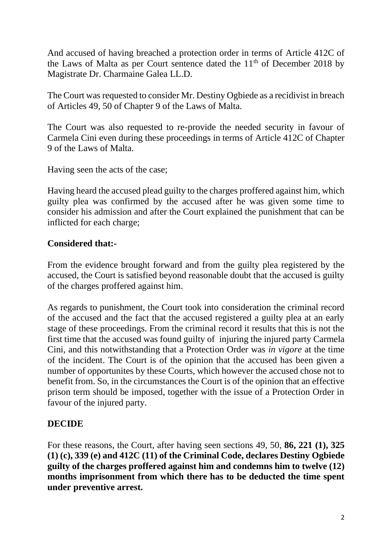And accused of having breached a protection order in terms of Article 412C of the Laws of Malta as per Court sentence dated the  $11<sup>th</sup>$  of December 2018 by Magistrate Dr. Charmaine Galea LL.D.

The Court was requested to consider Mr. Destiny Ogbiede as a recidivist in breach of Articles 49, 50 of Chapter 9 of the Laws of Malta.

The Court was also requested to re-provide the needed security in favour of Carmela Cini even during these proceedings in terms of Article 412C of Chapter 9 of the Laws of Malta.

Having seen the acts of the case;

Having heard the accused plead guilty to the charges proffered against him, which guilty plea was confirmed by the accused after he was given some time to consider his admission and after the Court explained the punishment that can be inflicted for each charge;

# **Considered that:-**

From the evidence brought forward and from the guilty plea registered by the accused, the Court is satisfied beyond reasonable doubt that the accused is guilty of the charges proffered against him.

As regards to punishment, the Court took into consideration the criminal record of the accused and the fact that the accused registered a guilty plea at an early stage of these proceedings. From the criminal record it results that this is not the first time that the accused was found guilty of injuring the injured party Carmela Cini, and this notwithstanding that a Protection Order was *in vigore* at the time of the incident. The Court is of the opinion that the accused has been given a number of opportunites by these Courts, which however the accused chose not to benefit from. So, in the circumstances the Court is of the opinion that an effective prison term should be imposed, together with the issue of a Protection Order in favour of the injured party.

# **DECIDE**

For these reasons, the Court, after having seen sections 49, 50, **86, 221 (1), 325 (1) (c), 339 (e) and 412C (11) of the Criminal Code, declares Destiny Ogbiede guilty of the charges proffered against him and condemns him to twelve (12) months imprisonment from which there has to be deducted the time spent under preventive arrest.**